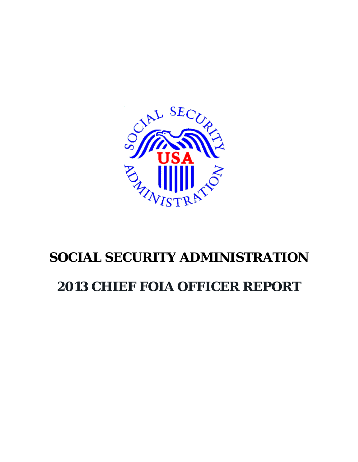

## **SOCIAL SECURITY ADMINISTRATION**

## **2013 CHIEF FOIA OFFICER REPORT**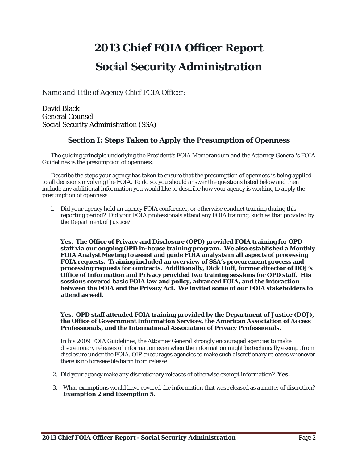# *2013 Chief FOIA Officer Report* **Social Security Administration**

*Name and Title of Agency Chief FOIA Officer:*

David Black General Counsel Social Security Administration (SSA)

## *Section I: Steps Taken to Apply the Presumption of Openness*

The guiding principle underlying the President's FOIA Memorandum and the Attorney General's FOIA Guidelines is the presumption of openness.

Describe the steps your agency has taken to ensure that the presumption of openness is being applied to all decisions involving the FOIA. To do so, you should answer the questions listed below and then include any additional information you would like to describe how your agency is working to apply the presumption of openness.

1. Did your agency hold an agency FOIA conference, or otherwise conduct training during this reporting period? Did your FOIA professionals attend any FOIA training, such as that provided by the Department of Justice?

**Yes. The Office of Privacy and Disclosure (OPD) provided FOIA training for OPD staff via our ongoing OPD in-house training program. We also established a Monthly FOIA Analyst Meeting to assist and guide FOIA analysts in all aspects of processing FOIA requests. Training included an overview of SSA's procurement process and processing requests for contracts. Additionally, Dick Huff, former director of DOJ's Office of Information and Privacy provided two training sessions for OPD staff. His sessions covered basic FOIA law and policy, advanced FOIA, and the interaction between the FOIA and the Privacy Act. We invited some of our FOIA stakeholders to attend as well.**

#### **Yes. OPD staff attended FOIA training provided by the Department of Justice (DOJ), the Office of Government Information Services, the American Association of Access Professionals, and the International Association of Privacy Professionals.**

In his 2009 FOIA Guidelines, the Attorney General strongly encouraged agencies to make discretionary releases of information even when the information might be technically exempt from disclosure under the FOIA. OIP encourages agencies to make such discretionary releases whenever there is no foreseeable harm from release.

- 2. Did your agency make any discretionary releases of otherwise exempt information? **Yes.**
- 3. What exemptions would have covered the information that was released as a matter of discretion? **Exemption 2 and Exemption 5.**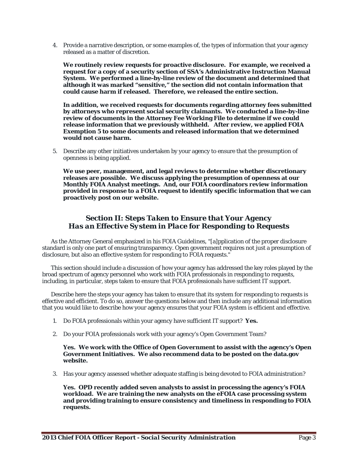4. Provide a narrative description, or some examples of, the types of information that your agency released as a matter of discretion.

**We routinely review requests for proactive disclosure. For example, we received a request for a copy of a security section of SSA's Administrative Instruction Manual System. We performed a line-by-line review of the document and determined that although it was marked "sensitive," the section did not contain information that could cause harm if released. Therefore, we released the entire section.**

**In addition, we received requests for documents regarding attorney fees submitted by attorneys who represent social security claimants. We conducted a line-by-line review of documents in the Attorney Fee Working File to determine if we could release information that we previously withheld. After review, we applied FOIA Exemption 5 to some documents and released information that we determined would not cause harm.**

5. Describe any other initiatives undertaken by your agency to ensure that the presumption of openness is being applied.

**We use peer, management, and legal reviews to determine whether discretionary releases are possible. We discuss applying the presumption of openness at our Monthly FOIA Analyst meetings. And, our FOIA coordinators review information provided in response to a FOIA request to identify specific information that we can proactively post on our website.**

#### *Section II: Steps Taken to Ensure that Your Agency Has an Effective System in Place for Responding to Requests*

As the Attorney General emphasized in his FOIA Guidelines, "[a]pplication of the proper disclosure standard is only one part of ensuring transparency. Open government requires not just a presumption of disclosure, but also an effective system for responding to FOIA requests."

This section should include a discussion of how your agency has addressed the key roles played by the broad spectrum of agency personnel who work with FOIA professionals in responding to requests, including, in particular, steps taken to ensure that FOIA professionals have sufficient IT support.

Describe here the steps your agency has taken to ensure that its system for responding to requests is effective and efficient. To do so, answer the questions below and then include any additional information that you would like to describe how your agency ensures that your FOIA system is efficient and effective.

- 1. Do FOIA professionals within your agency have sufficient IT support? **Yes.**
- 2. Do your FOIA professionals work with your agency's Open Government Team?

**Yes. We work with the Office of Open Government to assist with the agency's Open Government Initiatives. We also recommend data to be posted on the data.gov website.**

3. Has your agency assessed whether adequate staffing is being devoted to FOIA administration?

**Yes. OPD recently added seven analysts to assist in processing the agency's FOIA workload. We are training the new analysts on the eFOIA case processing system and providing training to ensure consistency and timeliness in responding to FOIA requests.**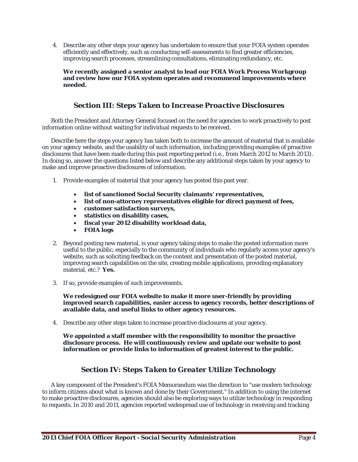4. Describe any other steps your agency has undertaken to ensure that your FOIA system operates efficiently and effectively, such as conducting self-assessments to find greater efficiencies, improving search processes, streamlining consultations, eliminating redundancy, etc.

**We recently assigned a senior analyst to lead our FOIA Work Process Workgroup and review how our FOIA system operates and recommend improvements where needed.** 

#### *Section III: Steps Taken to Increase Proactive Disclosures*

Both the President and Attorney General focused on the need for agencies to work proactively to post information online without waiting for individual requests to be received.

Describe here the steps your agency has taken both to increase the amount of material that is available on your agency website, and the usability of such information, including providing examples of proactive disclosures that have been made during this past reporting period (i.e., from March 2012 to March 2013). In doing so, answer the questions listed below and describe any additional steps taken by your agency to make and improve proactive disclosures of information.

- 1. Provide examples of material that your agency has posted this past year.
	- **list of sanctioned Social Security claimants' representatives,**
	- **list of non-attorney representatives eligible for direct payment of fees,**
	- **customer satisfaction surveys,**
	- **statistics on disability cases,**
	- **fiscal year 2012 disability workload data,**
	- **FOIA logs**
- 2. Beyond posting new material, is your agency taking steps to make the posted information more useful to the public, especially to the community of individuals who regularly access your agency's website, such as soliciting feedback on the content and presentation of the posted material, improving search capabilities on the site, creating mobile applications, providing explanatory material, etc.? **Yes.**
- 3. If so, provide examples of such improvements.

**We redesigned our FOIA website to make it more user-friendly by providing improved search capabilities, easier access to agency records, better descriptions of available data, and useful links to other agency resources.** 

4. Describe any other steps taken to increase proactive disclosures at your agency.

**We appointed a staff member with the responsibility to monitor the proactive disclosure process. He will continuously review and update our website to post information or provide links to information of greatest interest to the public.** 

#### *Section IV: Steps Taken to Greater Utilize Technology*

A key component of the President's FOIA Memorandum was the direction to "use modern technology to inform citizens about what is known and done by their Government." In addition to using the internet to make proactive disclosures, agencies should also be exploring ways to utilize technology in responding to requests. In 2010 and 2011, agencies reported widespread use of technology in receiving and tracking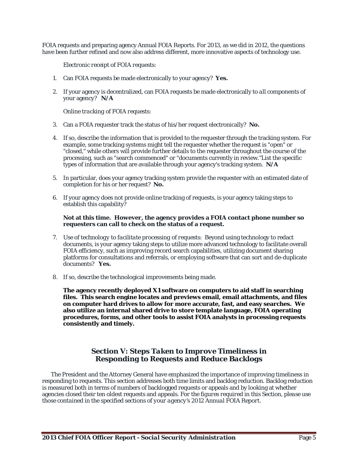FOIA requests and preparing agency Annual FOIA Reports. For 2013, as we did in 2012, the questions have been further refined and now also address different, more innovative aspects of technology use.

*Electronic receipt of FOIA requests:*

- 1. Can FOIA requests be made electronically to your agency? **Yes.**
- 2. If your agency is decentralized, can FOIA requests be made electronically to *all* components of your agency? **N/A**

*Online tracking of FOIA requests:* 

- 3. Can a FOIA requester track the status of his/her request electronically? **No.**
- 4. If so, describe the information that is provided to the requester through the tracking system. For example, some tracking systems might tell the requester whether the request is "open" or "closed," while others will provide further details to the requester throughout the course of the processing, such as "search commenced" or "documents currently in review."List the specific types of information that are available through your agency's tracking system. **N/A**
- 5. In particular, does your agency tracking system provide the requester with an estimated date of completion for his or her request? **No.**
- 6. If your agency does not provide online tracking of requests, is your agency taking steps to establish this capability?

#### **Not at this time. However, the agency provides a FOIA contact phone number so requesters can call to check on the status of a request.**

- 7. *Use of technology to facilitate processing of requests*: Beyond using technology to redact documents, is your agency taking steps to utilize more advanced technology to facilitate overall FOIA efficiency, such as improving record search capabilities, utilizing document sharing platforms for consultations and referrals, or employing software that can sort and de-duplicate documents? **Yes.**
- 8. If so, describe the technological improvements being made.

**The agency recently deployed X1 software on computers to aid staff in searching files. This search engine locates and previews email, email attachments, and files on computer hard drives to allow for more accurate, fast, and easy searches. We also utilize an internal shared drive to store template language, FOIA operating procedures, forms, and other tools to assist FOIA analysts in processing requests consistently and timely.**

### *Section V: Steps Taken to Improve Timeliness in Responding to Requests and Reduce Backlogs*

The President and the Attorney General have emphasized the importance of improving timeliness in responding to requests. This section addresses both time limits and backlog reduction. Backlog reduction is measured both in terms of numbers of backlogged requests or appeals and by looking at whether agencies closed their ten oldest requests and appeals. *For the figures required in this Section, please use those contained in the specified sections of your agency's 2012 Annual FOIA Report.*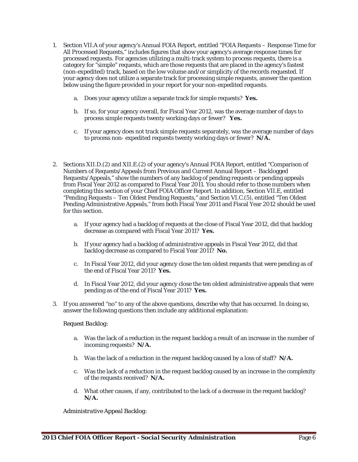- 1. Section VII.A of your agency's Annual FOIA Report, entitled "FOIA Requests Response Time for All Processed Requests," includes figures that show your agency's average response times for processed requests. For agencies utilizing a multi-track system to process requests, there is a category for "simple" requests, which are those requests that are placed in the agency's fastest (non-expedited) track, based on the low volume and/or simplicity of the records requested. If your agency does not utilize a separate track for processing simple requests, answer the question below using the figure provided in your report for your non-expedited requests.
	- a. Does your agency utilize a separate track for simple requests? **Yes.**
	- b. If so, for your agency overall, for Fiscal Year 2012, was the average number of days to process simple requests twenty working days or fewer? **Yes.**
	- c. If your agency does not track simple requests separately, was the average number of days to process non- expedited requests twenty working days or fewer? **N/A.**
- 2. Sections XII.D.(2) and XII.E.(2) of your agency's Annual FOIA Report, entitled "Comparison of Numbers of Requests/Appeals from Previous and Current Annual Report – Backlogged Requests/Appeals," show the numbers of any backlog of pending requests or pending appeals from Fiscal Year 2012 as compared to Fiscal Year 2011. You should refer to those numbers when completing this section of your Chief FOIA Officer Report. In addition, Section VII.E, entitled "Pending Requests – Ten Oldest Pending Requests," and Section VI.C.(5), entitled "Ten Oldest Pending Administrative Appeals," from both Fiscal Year 2011 and Fiscal Year 2012 should be used for this section.
	- a. If your agency had a backlog of requests at the close of Fiscal Year 2012, did that backlog decrease as compared with Fiscal Year 2011? **Yes.**
	- b. If your agency had a backlog of administrative appeals in Fiscal Year 2012, did that backlog decrease as compared to Fiscal Year 2011? **No.**
	- c. In Fiscal Year 2012, did your agency close the ten oldest requests that were pending as of the end of Fiscal Year 2011? **Yes.**
	- d. In Fiscal Year 2012, did your agency close the ten oldest administrative appeals that were pending as of the end of Fiscal Year 2011? **Yes.**
- 3. If you answered "no" to any of the above questions, describe why that has occurred. In doing so, answer the following questions then include any additional explanation:

#### *Request Backlog:*

- a. Was the lack of a reduction in the request backlog a result of an increase in the number of incoming requests? **N/A.**
- b. Was the lack of a reduction in the request backlog caused by a loss of staff? **N/A.**
- c. Was the lack of a reduction in the request backlog caused by an increase in the complexity of the requests received? **N/A.**
- d. What other causes, if any, contributed to the lack of a decrease in the request backlog? **N/A.**

*Administrative Appeal Backlog:*